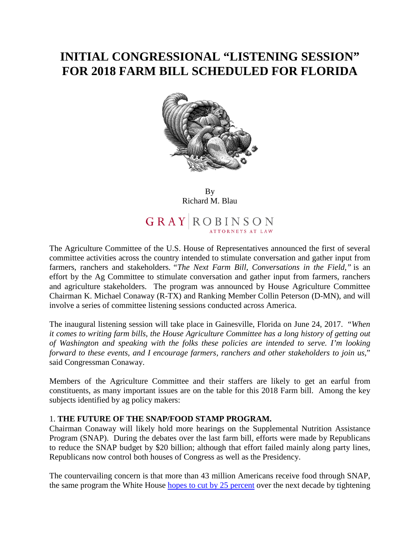# **INITIAL CONGRESSIONAL "LISTENING SESSION" FOR 2018 FARM BILL SCHEDULED FOR FLORIDA**



By Richard M. Blau

GRAY ROBINSON

The Agriculture Committee of the U.S. House of Representatives announced the first of several committee activities across the country intended to stimulate conversation and gather input from farmers, ranchers and stakeholders. *"The Next Farm Bill, Conversations in the Field,"* is an effort by the Ag Committee to stimulate conversation and gather input from farmers, ranchers and agriculture stakeholders. The program was announced by House Agriculture Committee Chairman K. Michael Conaway (R-TX) and Ranking Member Collin Peterson (D-MN), and will involve a series of committee listening sessions conducted across America.

The inaugural listening session will take place in Gainesville, Florida on June 24, 2017. "*When it comes to writing farm bills, the House Agriculture Committee has a long history of getting out of Washington and speaking with the folks these policies are intended to serve. I'm looking forward to these events, and I encourage farmers, ranchers and other stakeholders to join us,*" said Congressman Conaway.

Members of the Agriculture Committee and their staffers are likely to get an earful from constituents, as many important issues are on the table for this 2018 Farm bill. Among the key subjects identified by ag policy makers:

### 1. **THE FUTURE OF THE SNAP/FOOD STAMP PROGRAM.**

Chairman Conaway will likely hold more hearings on the Supplemental Nutrition Assistance Program (SNAP). During the debates over the last farm bill, efforts were made by Republicans to reduce the SNAP budget by \$20 billion; although that effort failed mainly along party lines, Republicans now control both houses of Congress as well as the Presidency.

The countervailing concern is that more than 43 million Americans receive food through SNAP, the same program the White House hopes to cut by 25 percent over the next decade by tightening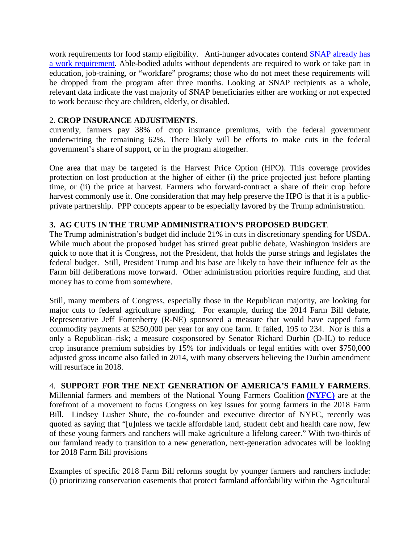work requirements for food stamp eligibility. Anti-hunger advocates contend SNAP already has a work requirement. Able-bodied adults without dependents are required to work or take part in education, job-training, or "workfare" programs; those who do not meet these requirements will be dropped from the program after three months. Looking at SNAP recipients as a whole, relevant data indicate the vast majority of SNAP beneficiaries either are working or not expected to work because they are children, elderly, or disabled.

### 2. **CROP INSURANCE ADJUSTMENTS**.

currently, farmers pay 38% of crop insurance premiums, with the federal government underwriting the remaining 62%. There likely will be efforts to make cuts in the federal government's share of support, or in the program altogether.

One area that may be targeted is the Harvest Price Option (HPO). This coverage provides protection on lost production at the higher of either (i) the price projected just before planting time, or (ii) the price at harvest. Farmers who forward-contract a share of their crop before harvest commonly use it. One consideration that may help preserve the HPO is that it is a publicprivate partnership. PPP concepts appear to be especially favored by the Trump administration.

## **3. AG CUTS IN THE TRUMP ADMINISTRATION'S PROPOSED BUDGET**.

The Trump administration's budget did include 21% in cuts in discretionary spending for USDA. While much about the proposed budget has stirred great public debate, Washington insiders are quick to note that it is Congress, not the President, that holds the purse strings and legislates the federal budget. Still, President Trump and his base are likely to have their influence felt as the Farm bill deliberations move forward. Other administration priorities require funding, and that money has to come from somewhere.

Still, many members of Congress, especially those in the Republican majority, are looking for major cuts to federal agriculture spending. For example, during the 2014 Farm Bill debate, Representative Jeff Fortenberry (R-NE) sponsored a measure that would have capped farm commodity payments at \$250,000 per year for any one farm. It failed, 195 to 234. Nor is this a only a Republican–risk; a measure cosponsored by Senator Richard Durbin (D-IL) to reduce crop insurance premium subsidies by 15% for individuals or legal entities with over \$750,000 adjusted gross income also failed in 2014, with many observers believing the Durbin amendment will resurface in 2018.

4. **SUPPORT FOR THE NEXT GENERATION OF AMERICA'S FAMILY FARMERS**. Millennial farmers and members of the National Young Farmers Coalition **(NYFC)** are at the forefront of a movement to focus Congress on key issues for young farmers in the 2018 Farm Bill. Lindsey Lusher Shute, the co-founder and executive director of NYFC, recently was quoted as saying that "[u]nless we tackle affordable land, student debt and health care now, few of these young farmers and ranchers will make agriculture a lifelong career." With two-thirds of our farmland ready to transition to a new generation, next-generation advocates will be looking for 2018 Farm Bill provisions

Examples of specific 2018 Farm Bill reforms sought by younger farmers and ranchers include: (i) prioritizing conservation easements that protect farmland affordability within the Agricultural